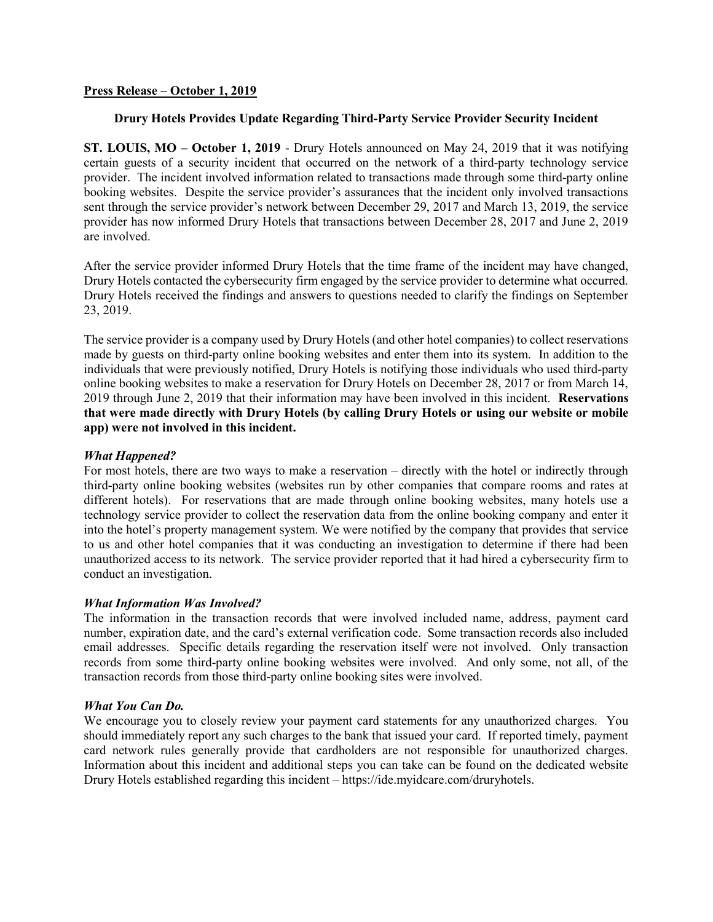## Press Release – October 1, 2019

# Drury Hotels Provides Update Regarding Third-Party Service Provider Security Incident

ST. LOUIS, MO – October 1, 2019 - Drury Hotels announced on May 24, 2019 that it was notifying certain guests of a security incident that occurred on the network of a third-party technology service provider. The incident involved information related to transactions made through some third-party online booking websites. Despite the service provider's assurances that the incident only involved transactions sent through the service provider's network between December 29, 2017 and March 13, 2019, the service provider has now informed Drury Hotels that transactions between December 28, 2017 and June 2, 2019 are involved.

After the service provider informed Drury Hotels that the time frame of the incident may have changed, Drury Hotels contacted the cybersecurity firm engaged by the service provider to determine what occurred. Drury Hotels received the findings and answers to questions needed to clarify the findings on September 23, 2019.

The service provider is a company used by Drury Hotels (and other hotel companies) to collect reservations made by guests on third-party online booking websites and enter them into its system. In addition to the individuals that were previously notified, Drury Hotels is notifying those individuals who used third-party online booking websites to make a reservation for Drury Hotels on December 28, 2017 or from March 14, 2019 through June 2, 2019 that their information may have been involved in this incident. Reservations that were made directly with Drury Hotels (by calling Drury Hotels or using our website or mobile app) were not involved in this incident.

## What Happened?

For most hotels, there are two ways to make a reservation – directly with the hotel or indirectly through third-party online booking websites (websites run by other companies that compare rooms and rates at different hotels). For reservations that are made through online booking websites, many hotels use a technology service provider to collect the reservation data from the online booking company and enter it into the hotel's property management system. We were notified by the company that provides that service to us and other hotel companies that it was conducting an investigation to determine if there had been unauthorized access to its network. The service provider reported that it had hired a cybersecurity firm to conduct an investigation.

### What Information Was Involved?

The information in the transaction records that were involved included name, address, payment card number, expiration date, and the card's external verification code. Some transaction records also included email addresses. Specific details regarding the reservation itself were not involved. Only transaction records from some third-party online booking websites were involved. And only some, not all, of the transaction records from those third-party online booking sites were involved.

#### What You Can Do.

We encourage you to closely review your payment card statements for any unauthorized charges. You should immediately report any such charges to the bank that issued your card. If reported timely, payment card network rules generally provide that cardholders are not responsible for unauthorized charges. Information about this incident and additional steps you can take can be found on the dedicated website Drury Hotels established regarding this incident – https://ide.myidcare.com/druryhotels.